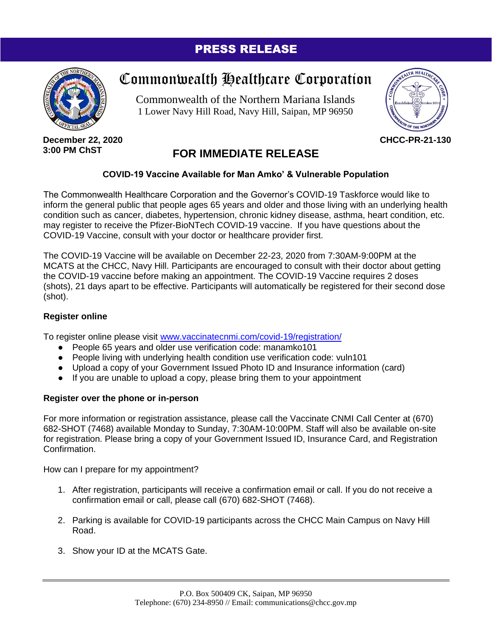### PRESS RELEASE



# Commonwealth Healthcare Corporation

Commonwealth of the Northern Mariana Islands 1 Lower Navy Hill Road, Navy Hill, Saipan, MP 96950



**December 22, 2020 3:00 PM ChST**

## **FOR IMMEDIATE RELEASE**

#### **COVID-19 Vaccine Available for Man Amko' & Vulnerable Population**

The Commonwealth Healthcare Corporation and the Governor's COVID-19 Taskforce would like to inform the general public that people ages 65 years and older and those living with an underlying health condition such as cancer, diabetes, hypertension, chronic kidney disease, asthma, heart condition, etc. may register to receive the Pfizer-BioNTech COVID-19 vaccine. If you have questions about the COVID-19 Vaccine, consult with your doctor or healthcare provider first.

The COVID-19 Vaccine will be available on December 22-23, 2020 from 7:30AM-9:00PM at the MCATS at the CHCC, Navy Hill. Participants are encouraged to consult with their doctor about getting the COVID-19 vaccine before making an appointment. The COVID-19 Vaccine requires 2 doses (shots), 21 days apart to be effective. Participants will automatically be registered for their second dose (shot).

#### **Register online**

To register online please visit [www.vaccinatecnmi.com/covid-19/registration/](http://www.vaccinatecnmi.com/covid-19/registration/)

- People 65 years and older use verification code: manamko101
- People living with underlying health condition use verification code: vuln101
- Upload a copy of your Government Issued Photo ID and Insurance information (card)
- If you are unable to upload a copy, please bring them to your appointment

#### **Register over the phone or in-person**

For more information or registration assistance, please call the Vaccinate CNMI Call Center at (670) 682-SHOT (7468) available Monday to Sunday, 7:30AM-10:00PM. Staff will also be available on-site for registration. Please bring a copy of your Government Issued ID, Insurance Card, and Registration Confirmation.

How can I prepare for my appointment?

- 1. After registration, participants will receive a confirmation email or call. If you do not receive a confirmation email or call, please call (670) 682-SHOT (7468).
- 2. Parking is available for COVID-19 participants across the CHCC Main Campus on Navy Hill Road.
- 3. Show your ID at the MCATS Gate.